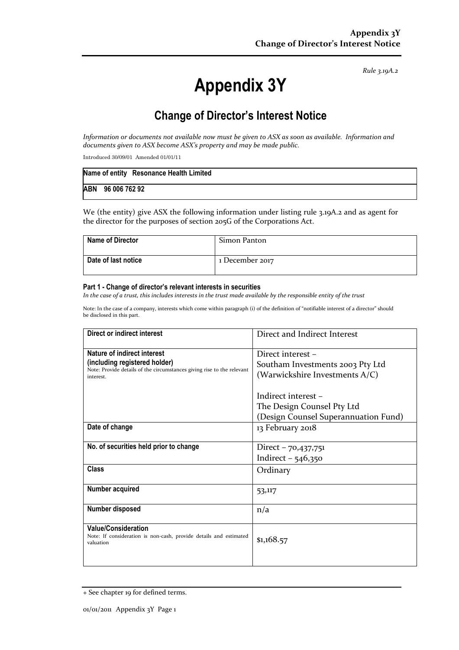Rule 3.19A.2

# Appendix 3Y

# Change of Director's Interest Notice

Information or documents not available now must be given to ASX as soon as available. Information and documents given to ASX become ASX's property and may be made public.

Introduced 30/09/01 Amended 01/01/11

|                   | Name of entity Resonance Health Limited |
|-------------------|-----------------------------------------|
| ABN 96 006 762 92 |                                         |

We (the entity) give ASX the following information under listing rule 3.19A.2 and as agent for the director for the purposes of section 205G of the Corporations Act.

| <b>Name of Director</b> | Simon Panton    |
|-------------------------|-----------------|
| Date of last notice     | 1 December 2017 |

#### Part 1 - Change of director's relevant interests in securities

In the case of a trust, this includes interests in the trust made available by the responsible entity of the trust

Note: In the case of a company, interests which come within paragraph (i) of the definition of "notifiable interest of a director" should be disclosed in this part.

| Direct or indirect interest                                                         | Direct and Indirect Interest         |  |
|-------------------------------------------------------------------------------------|--------------------------------------|--|
| Nature of indirect interest                                                         | Direct interest -                    |  |
| (including registered holder)                                                       | Southam Investments 2003 Pty Ltd     |  |
| Note: Provide details of the circumstances giving rise to the relevant<br>interest. | (Warwickshire Investments A/C)       |  |
|                                                                                     |                                      |  |
|                                                                                     | Indirect interest -                  |  |
|                                                                                     | The Design Counsel Pty Ltd           |  |
|                                                                                     | (Design Counsel Superannuation Fund) |  |
| Date of change                                                                      | 13 February 2018                     |  |
|                                                                                     |                                      |  |
| No. of securities held prior to change                                              | Direct - 70,437,751                  |  |
|                                                                                     | Indirect $-546,350$                  |  |
| Class                                                                               | Ordinary                             |  |
|                                                                                     |                                      |  |
| Number acquired                                                                     | 53,117                               |  |
|                                                                                     |                                      |  |
| Number disposed                                                                     | n/a                                  |  |
| <b>Value/Consideration</b>                                                          |                                      |  |
| Note: If consideration is non-cash, provide details and estimated                   | \$1,168.57                           |  |
| valuation                                                                           |                                      |  |
|                                                                                     |                                      |  |

<sup>+</sup> See chapter 19 for defined terms.